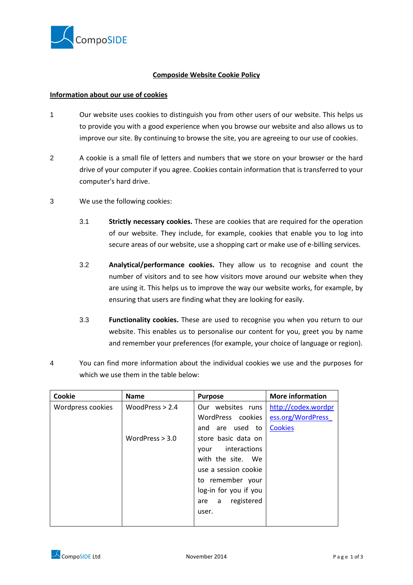

## **Composide Website Cookie Policy**

## **Information about our use of cookies**

- 1 Our website uses cookies to distinguish you from other users of our website. This helps us to provide you with a good experience when you browse our website and also allows us to improve our site. By continuing to browse the site, you are agreeing to our use of cookies.
- 2 A cookie is a small file of letters and numbers that we store on your browser or the hard drive of your computer if you agree. Cookies contain information that is transferred to your computer's hard drive.
- 3 We use the following cookies:
	- 3.1 **Strictly necessary cookies.** These are cookies that are required for the operation of our website. They include, for example, cookies that enable you to log into secure areas of our website, use a shopping cart or make use of e-billing services.
	- 3.2 **Analytical/performance cookies.** They allow us to recognise and count the number of visitors and to see how visitors move around our website when they are using it. This helps us to improve the way our website works, for example, by ensuring that users are finding what they are looking for easily.
	- 3.3 **Functionality cookies.** These are used to recognise you when you return to our website. This enables us to personalise our content for you, greet you by name and remember your preferences (for example, your choice of language or region).
- 4 You can find more information about the individual cookies we use and the purposes for which we use them in the table below:

| Cookie            | <b>Name</b>       | <b>Purpose</b>         | <b>More information</b> |
|-------------------|-------------------|------------------------|-------------------------|
| Wordpress cookies | WoodPress $> 2.4$ | Our websites runs      | http://codex.wordpr     |
|                   |                   | WordPress cookies      | ess.org/WordPress       |
|                   |                   | are used to<br>and     | <b>Cookies</b>          |
|                   | WordPress $> 3.0$ | store basic data on    |                         |
|                   |                   | interactions<br>vour   |                         |
|                   |                   | with the site.<br>We   |                         |
|                   |                   | use a session cookie   |                         |
|                   |                   | to remember your       |                         |
|                   |                   | log-in for you if you  |                         |
|                   |                   | registered<br>a<br>are |                         |
|                   |                   | user.                  |                         |
|                   |                   |                        |                         |

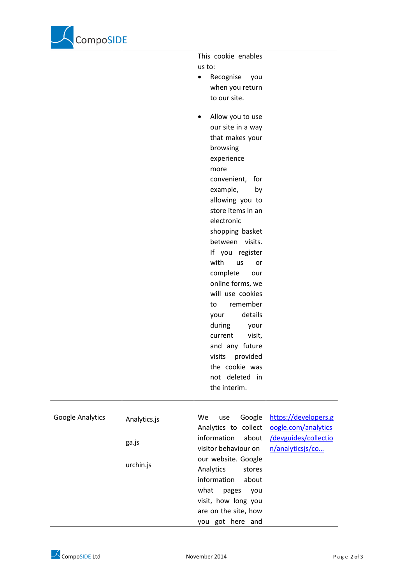

|                  |              | This cookie enables<br>us to:<br>Recognise<br>you<br>$\bullet$<br>when you return                                                                                                                                                                                                                        |                                             |
|------------------|--------------|----------------------------------------------------------------------------------------------------------------------------------------------------------------------------------------------------------------------------------------------------------------------------------------------------------|---------------------------------------------|
|                  |              | to our site.<br>Allow you to use<br>our site in a way<br>that makes your<br>browsing<br>experience<br>more<br>convenient,<br>for<br>example,<br>by<br>allowing you to<br>store items in an<br>electronic<br>shopping basket<br>between visits.<br>If you register<br>with<br>us<br>or<br>complete<br>our |                                             |
|                  |              | online forms, we<br>will use cookies<br>remember<br>to<br>details<br>your<br>during<br>your<br>current<br>visit,<br>and any future<br>provided<br>visits<br>the cookie was<br>not deleted in<br>the interim.                                                                                             |                                             |
| Google Analytics | Analytics.js | Google<br>We<br>use<br>Analytics to collect                                                                                                                                                                                                                                                              | https://developers.g<br>oogle.com/analytics |
|                  | ga.js        | information<br>about<br>visitor behaviour on<br>our website. Google                                                                                                                                                                                                                                      | /devguides/collectio<br>n/analyticsjs/co    |
|                  | urchin.js    | Analytics<br>stores<br>information<br>about<br>what<br>pages<br>you<br>visit, how long you<br>are on the site, how<br>you got here and                                                                                                                                                                   |                                             |